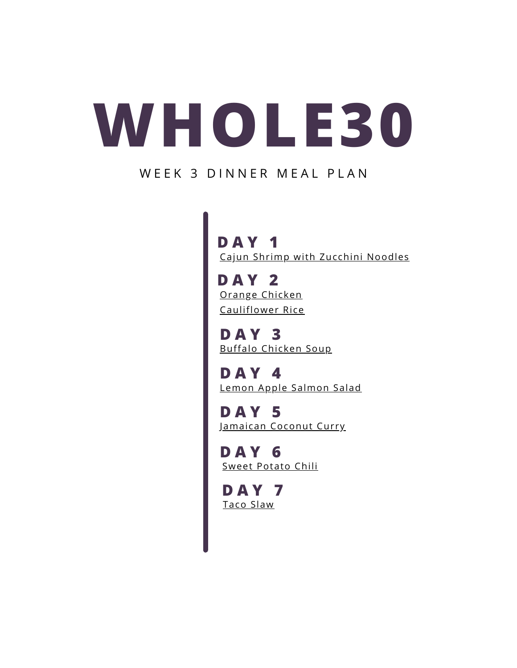## **WHOLE30**

#### WEEK 3 DINNER MEAL PLAN

**D A Y 1** [Cajun Shrimp with Zucchini Noodles](https://thatgirlcookshealthy.com/cajun-shrimp-zoodles/)

**D A Y 2** [Orange Chicken](https://foodbornewellness.com/whole30-orange-chicken/) Cauliflower Rice

**D A Y 3** [Buffalo Chicken Soup](https://foodbornewellness.com/whole30-buffalo-chicken-soup-paleo/)

**D A Y 4** [Lemon Apple Salmon Salad](https://foodbornewellness.com/lemon-apple-salmon-salad/)

**D A Y 5** [Jamaican Coconut Curry](https://thatgirlcookshealthy.com/jamaican-coconut-curry-chicken/)

[Sweet Potato Chili](https://foodbornewellness.com/whole30-sweet-potato-chili/) **D A Y 6**

**D A Y 7** [Taco Slaw](https://peaceloveandlowcarb.com/warm-taco-slaw/)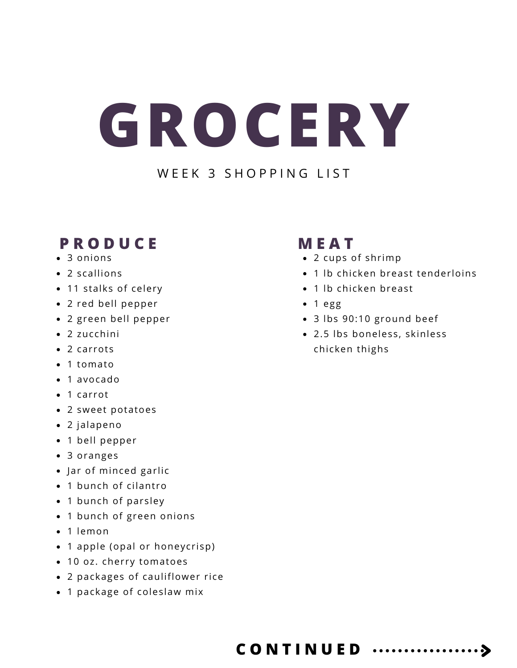# **GROCERY**

#### W F F K 3 S H O P P I N G L I S T

### **P R O D U C E**

- 3 onions
- 2 scallions
- 11 stalks of celery
- 2 red bell pepper
- 2 green bell pepper
- 2 zucchini
- 2 carrots
- 1 tomato
- 1 avocado
- 1 carrot
- 2 sweet potatoes
- 2 jalapeno
- 1 bell pepper
- 3 oranges
- Jar of minced garlic
- 1 bunch of cilantro
- 1 bunch of parsley
- 1 bunch of green onions
- 1 lemon
- 1 apple (opal or honeycrisp)
- 10 oz. cherry tomatoes
- 2 packages of cauliflower rice
- 1 package of coleslaw mix

### **M E A T**

- 2 cups of shrimp
- 1 lb chicken breast tenderloins
- 1 lb chicken breast
- $\bullet$  1 egg
- 3 lbs 90:10 ground beef
- 2.5 lbs boneless, skinless chicken thighs